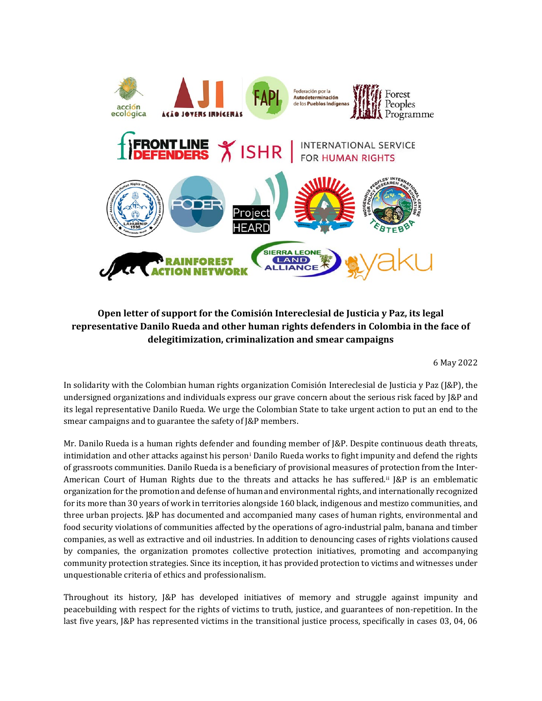

## **Open letter of support for the Comisión Intereclesial de Justicia y Paz, its legal representative Danilo Rueda and other human rights defenders in Colombia in the face of delegitimization, criminalization and smear campaigns**

6 May 2022

In solidarity with the Colombian human rights organization Comisión Intereclesial de Justicia y Paz (J&P), the undersigned organizations and individuals express our grave concern about the serious risk faced by J&P and its legal representative Danilo Rueda. We urge the Colombian State to take urgent action to put an end to the smear campaigns and to guarantee the safety of J&P members.

Mr. Danilo Rueda is a human rights defender and founding member of J&P. Despite continuous death threats, intimidation and other attacks against his person[i](#page-2-0) Danilo Rueda works to fight impunity and defend the rights of grassroots communities. Danilo Rueda is a beneficiary of provisional measures of protection from the Inter-American Court of Human Rights due to the threats and attacks he has suffered[.ii](#page-2-1) J&P is an emblematic organization for the promotion and defense of human and environmental rights, and internationally recognized for its more than 30 years of work in territories alongside 160 black, indigenous and mestizo communities, and three urban projects. J&P has documented and accompanied many cases of human rights, environmental and food security violations of communities affected by the operations of agro-industrial palm, banana and timber companies, as well as extractive and oil industries. In addition to denouncing cases of rights violations caused by companies, the organization promotes collective protection initiatives, promoting and accompanying community protection strategies. Since its inception, it has provided protection to victims and witnesses under unquestionable criteria of ethics and professionalism.

Throughout its history, J&P has developed initiatives of memory and struggle against impunity and peacebuilding with respect for the rights of victims to truth, justice, and guarantees of non-repetition. In the last five years, J&P has represented victims in the transitional justice process, specifically in cases 03, 04, 06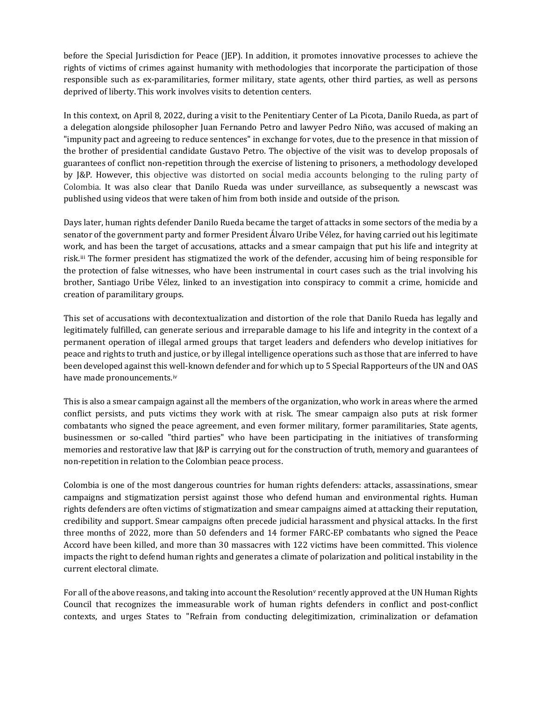before the Special Jurisdiction for Peace (JEP). In addition, it promotes innovative processes to achieve the rights of victims of crimes against humanity with methodologies that incorporate the participation of those responsible such as ex-paramilitaries, former military, state agents, other third parties, as well as persons deprived of liberty. This work involves visits to detention centers.

In this context, on April 8, 2022, during a visit to the Penitentiary Center of La Picota, Danilo Rueda, as part of a delegation alongside philosopher Juan Fernando Petro and lawyer Pedro Niño, was accused of making an "impunity pact and agreeing to reduce sentences" in exchange for votes, due to the presence in that mission of the brother of presidential candidate Gustavo Petro. The objective of the visit was to develop proposals of guarantees of conflict non-repetition through the exercise of listening to prisoners, a methodology developed by J&P. However, this objective was distorted on social media accounts belonging to the ruling party of Colombia. It was also clear that Danilo Rueda was under surveillance, as subsequently a newscast was published using videos that were taken of him from both inside and outside of the prison.

Days later, human rights defender Danilo Rueda became the target of attacks in some sectors of the media by a senator of the government party and former President Álvaro Uribe Vélez, for having carried out his legitimate work, and has been the target of accusations, attacks and a smear campaign that put his life and integrity at risk.[iii](#page-2-2) The former president has stigmatized the work of the defender, accusing him of being responsible for the protection of false witnesses, who have been instrumental in court cases such as the trial involving his brother, Santiago Uribe Vélez, linked to an investigation into conspiracy to commit a crime, homicide and creation of paramilitary groups.

This set of accusations with decontextualization and distortion of the role that Danilo Rueda has legally and legitimately fulfilled, can generate serious and irreparable damage to his life and integrity in the context of a permanent operation of illegal armed groups that target leaders and defenders who develop initiatives for peace and rights to truth and justice, or by illegal intelligence operations such as those that are inferred to have been developed against this well-known defender and for which up to 5 Special Rapporteurs of the UN and OAS have made pronouncements.[iv](#page-2-3)

This is also a smear campaign against all the members of the organization, who work in areas where the armed conflict persists, and puts victims they work with at risk. The smear campaign also puts at risk former combatants who signed the peace agreement, and even former military, former paramilitaries, State agents, businessmen or so-called "third parties" who have been participating in the initiatives of transforming memories and restorative law that J&P is carrying out for the construction of truth, memory and guarantees of non-repetition in relation to the Colombian peace process.

Colombia is one of the most dangerous countries for human rights defenders: attacks, assassinations, smear campaigns and stigmatization persist against those who defend human and environmental rights. Human rights defenders are often victims of stigmatization and smear campaigns aimed at attacking their reputation, credibility and support. Smear campaigns often precede judicial harassment and physical attacks. In the first three months of 2022, more than 50 defenders and 14 former FARC-EP combatants who signed the Peace Accord have been killed, and more than 30 massacres with 122 victims have been committed. This violence impacts the right to defend human rights and generates a climate of polarization and political instability in the current electoral climate.

For all of the abo[v](#page-2-4)e reasons, and taking into account the Resolution<sup>y</sup> recently approved at the UN Human Rights Council that recognizes the immeasurable work of human rights defenders in conflict and post-conflict contexts, and urges States to "Refrain from conducting delegitimization, criminalization or defamation